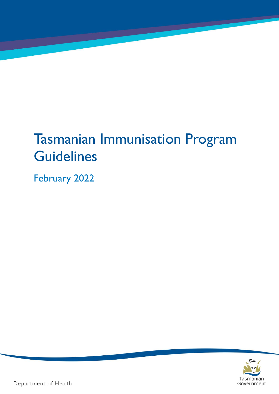# Tasmanian Immunisation Program **Guidelines**

February 2022



Department of Health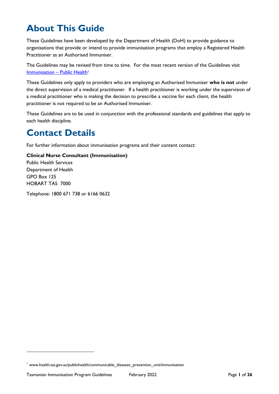# **About This Guide**

These Guidelines have been developed by the Department of Health (DoH) to provide guidance to organisations that provide or intend to provide immunisation programs that employ a Registered Health Practitioner as an Authorised Immuniser.

The Guidelines may be revised from time to time. For the most recent version of the Guidelines visit [Immunisation](https://www.health.tas.gov.au/publichealth/communicable_diseases_prevention_unit/immunisation/reporting_adverse_events_following_immunisation) - Public Health<sup>1</sup>

These Guidelines only apply to providers who are employing an Authorised Immuniser **who is not** under the direct supervision of a medical practitioner. If a health practitioner is working under the supervision of a medical practitioner who is making the decision to prescribe a vaccine for each client, the health practitioner is not required to be an Authorised Immuniser.

These Guidelines are to be used in conjunction with the professional standards and guidelines that apply to each health discipline.

# **Contact Details**

For further information about immunisation programs and their content contact:

**Clinical Nurse Consultant (Immunisation)** Public Health Services Department of Health GPO Box 125 HOBART TAS 7000

Telephone: 1800 671 738 or 6166 0632

<sup>&</sup>lt;sup>1</sup> www.health.tas.gov.au/publichealth/communicable diseases prevention unit/immunisation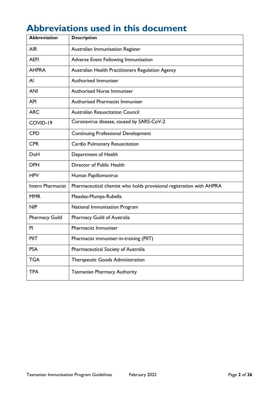# **Abbreviations used in this document**

| <b>Abbreviation</b>   | <b>Description</b>                                                   |
|-----------------------|----------------------------------------------------------------------|
| <b>AIR</b>            | Australian Immunisation Register                                     |
| <b>AEFI</b>           | Adverse Event Following Immunisation                                 |
| <b>AHPRA</b>          | Australian Health Practitioners Regulation Agency                    |
| AI                    | Authorised Immuniser                                                 |
| <b>ANI</b>            | <b>Authorised Nurse Immuniser</b>                                    |
| <b>API</b>            | <b>Authorised Pharmacist Immuniser</b>                               |
| <b>ARC</b>            | <b>Australian Resuscitation Council</b>                              |
| COVID-19              | Coronavirus disease, caused by SARS-CoV-2                            |
| <b>CPD</b>            | <b>Continuing Professional Development</b>                           |
| <b>CPR</b>            | Cardio Pulmonary Resuscitation                                       |
| DoH                   | Department of Health                                                 |
| <b>DPH</b>            | Director of Public Health                                            |
| <b>HPV</b>            | Human Papillomavirus                                                 |
| Intern Pharmacist     | Pharmaceutical chemist who holds provisional registration with AHPRA |
| <b>MMR</b>            | Measles-Mumps-Rubella                                                |
| <b>NIP</b>            | National Immunisation Program                                        |
| <b>Pharmacy Guild</b> | Pharmacy Guild of Australia                                          |
| PI                    | Pharmacist Immuniser                                                 |
| PIIT                  | Pharmacist immuniser-in-training (PIIT)                              |
| <b>PSA</b>            | Pharmaceutical Society of Australia                                  |
| <b>TGA</b>            | Therapeutic Goods Administration                                     |
| <b>TPA</b>            | Tasmanian Pharmacy Authority                                         |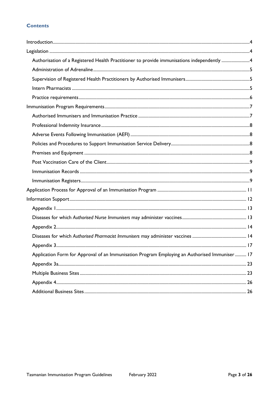#### **Contents**

| Authorisation of a Registered Health Practitioner to provide immunisations independently 4    |  |
|-----------------------------------------------------------------------------------------------|--|
|                                                                                               |  |
|                                                                                               |  |
|                                                                                               |  |
|                                                                                               |  |
|                                                                                               |  |
|                                                                                               |  |
|                                                                                               |  |
|                                                                                               |  |
|                                                                                               |  |
|                                                                                               |  |
|                                                                                               |  |
|                                                                                               |  |
|                                                                                               |  |
|                                                                                               |  |
|                                                                                               |  |
|                                                                                               |  |
|                                                                                               |  |
|                                                                                               |  |
|                                                                                               |  |
|                                                                                               |  |
| Application Form for Approval of an Immunisation Program Employing an Authorised Immuniser 17 |  |
|                                                                                               |  |
|                                                                                               |  |
|                                                                                               |  |
|                                                                                               |  |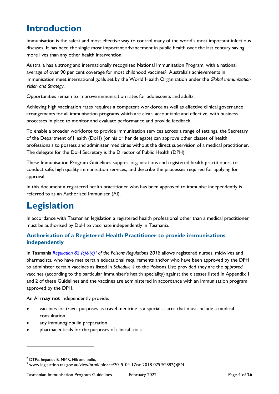# <span id="page-4-0"></span>**Introduction**

Immunisation is the safest and most effective way to control many of the world's most important infectious diseases. It has been the single most important advancement in public health over the last century saving more lives than any other health intervention.

Australia has a strong and internationally recognised National Immunisation Program, with a national average of over 90 per cent coverage for most childhood vaccines<sup>2</sup>. Australia's achievements in immunisation meet international goals set by the World Health Organization under the *Global Immunization Vision and Strategy*.

Opportunities remain to improve immunisation rates for adolescents and adults.

Achieving high vaccination rates requires a competent workforce as well as effective clinical governance arrangements for all immunisation programs which are clear, accountable and effective, with business processes in place to monitor and evaluate performance and provide feedback.

To enable a broader workforce to provide immunisation services across a range of settings, the Secretary of the Department of Health (DoH) (or his or her delegate) can approve other classes of health professionals to possess and administer medicines without the direct supervision of a medical practitioner. The delegate for the DoH Secretary is the Director of Public Health (DPH).

These Immunisation Program Guidelines support organisations and registered health practitioners to conduct safe, high quality immunisation services, and describe the processes required for applying for approval.

In this document a registered health practitioner who has been approved to immunise independently is referred to as an Authorised Immuniser (AI).

# <span id="page-4-1"></span>**Legislation**

In accordance with Tasmanian legislation a registered health professional other than a medical practitioner must be authorised by DoH to vaccinate independently in Tasmania.

#### <span id="page-4-2"></span>**Authorisation of a Registered Health Practitioner to provide immunisations independently**

In Tasmania *[Regulation 82 \(c\)&\(d\)](https://www.legislation.tas.gov.au/view/html/inforce/2019-04-17/sr-2018-079#GS82@EN) <sup>3</sup> of the Poisons Regulations 2018* allows registered nurses, midwives and pharmacists, who have met certain educational requirements and/or who have been approved by the DPH to administer certain vaccines as listed in *Schedule 4* to the Poisons List; provided they are the *approved* vaccines (according to the particular immuniser's health speciality) against the diseases listed in Appendix 1 and 2 of these Guidelines and the vaccines are administered in accordance with an immunisation program approved by the DPH.

An AI **may not** independently provide:

- vaccines for travel purposes as travel medicine is a specialist area that must include a medical consultation
- any immunoglobulin preparation
- pharmaceuticals for the purposes of clinical trials.

<sup>2</sup> DTPa, hepatitis B, MMR, Hib and polio,

<sup>3</sup> www.legislation.tas.gov.au/view/html/inforce/2019-04-17/sr-2018-079#GS82@EN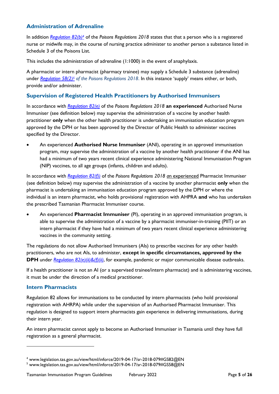#### <span id="page-5-0"></span>**Administration of Adrenaline**

In addition *[Regulation 82\(b\)](https://www.legislation.tas.gov.au/view/html/inforce/2019-04-17/sr-2018-079#GS82@EN)<sup>4</sup>* of the *Poisons Regulations 2018* states that that a person who is a registered nurse or midwife may, in the course of nursing practice administer to another person a substance listed in Schedule [3](http://www.thelaw.tas.gov.au/tocview/index.w3p;cond=;doc_id=%2B102%2B2001%2BJS3%40EN%2B20140417100000%23JS3%40EN;histon=;prompt=;rec=;term=) of the Poisons List.

This includes the administration of adrenaline (1:1000) in the event of anaphylaxis.

A pharmacist or intern pharmacist (pharmacy trainee) may supply a Schedule 3 substance (adrenaline) under *[Regulation 58\(2\)](https://www.legislation.tas.gov.au/view/html/inforce/2019-04-17/sr-2018-079#GS58@EN)<sup>5</sup> of the Poisons Regulations 2018*. In this instance 'supply' means either, or both, provide and/or administer.

#### <span id="page-5-1"></span>**Supervision of Registered Health Practitioners by Authorised Immunisers**

In accordance with *[Regulation 82\(e\)](https://www.legislation.tas.gov.au/view/html/inforce/2019-04-17/sr-2018-079#GS82@EN)* of the *Poisons Regulations 2018* **an experienced** Authorised Nurse Immuniser (see definition below) may supervise the administration of a vaccine by another health practitioner **only** when the other health practitioner is undertaking an immunisation education program approved by the DPH or has been approved by the Director of Public Health to administer vaccines specified by the Director.

• An experienced **Authorised Nurse Immuniser** (ANI), operating in an approved immunisation program, may supervise the administration of a vaccine by another health practitioner if the ANI has had a minimum of two years recent clinical experience administering National Immunisation Program (NIP) vaccines, to all age groups (infants, children and adults).

In accordance with *[Regulation 82\(f\)\)](https://www.legislation.tas.gov.au/view/html/inforce/current/sr-2018-079#GS82@EN)* of the *Poisons Regulations 2018 a*n experienced Pharmacist Immuniser (see definition below) may supervise the administration of a vaccine by another pharmacist **only** when the pharmacist is undertaking an immunisation education program approved by the DPH or where the individual is an intern pharmacist, who holds provisional registration with AHPRA **and** who has undertaken the prescribed Tasmanian Pharmacist Immuniser course.

• An experienced **Pharmacist Immuniser** (PI), operating in an approved immunisation program, is able to supervise the administration of a vaccine by a pharmacist immuniser-in-training (PIIT) or an intern pharmacist if they have had a minimum of two years recent clinical experience administering vaccines in the community setting.

The regulations do not allow Authorised Immunisers (AIs) to prescribe vaccines for any other health practitioners, who are not AIs, to administer, **except in specific circumstances, approved by the DPH** under *Regulation [82\(e\)\(ii\)&\(f\)\(ii\)](https://www.legislation.tas.gov.au/view/html/inforce/2019-04-17/sr-2018-079#GS82@EN)*, for example, pandemic or major communicable disease outbreaks.

If a health practitioner is not an AI (or a supervised trainee/intern pharmacist) and is administering vaccines, it must be under the direction of a medical practitioner.

#### <span id="page-5-2"></span>**Intern Pharmacists**

Regulation 82 allows for immunisations to be conducted by intern pharmacists (who hold provisional registration with AHRPA) while under the supervision of an Authorised Pharmacist Immuniser. This regulation is designed to support intern pharmacists gain experience in delivering immunisations, during their intern year.

An intern pharmacist cannot apply to become an Authorised Immuniser in Tasmania until they have full registration as a general pharmacist.

<sup>4</sup> www.legislation.tas.gov.au/view/html/inforce/2019-04-17/sr-2018-079#GS82@EN

<sup>5</sup> www.legislation.tas.gov.au/view/html/inforce/2019-04-17/sr-2018-079#GS58@EN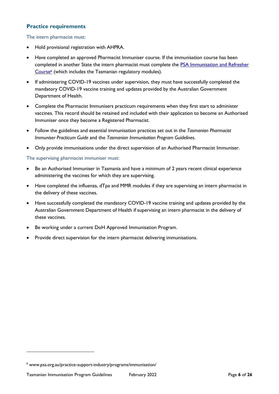#### <span id="page-6-0"></span>**Practice requirements**

The intern pharmacist must:

- Hold provisional registration with AHPRA.
- Have completed an approved Pharmacist Immuniser course. If the immunisation course has been completed in another State the intern pharmacist must complete the [PSA Immunisation and Refresher](https://www.psa.org.au/practice-support-industry/programs/immunisation/)  [Course](https://www.psa.org.au/practice-support-industry/programs/immunisation/)<sup>6</sup> (which includes the Tasmanian regulatory modules).
- If administering COVID-19 vaccines under supervision, they must have successfully completed the mandatory COVID-19 vaccine training and updates provided by the Australian Government Department of Health.
- Complete the Pharmacist Immunisers practicum requirements when they first start to administer vaccines. This record should be retained and included with their application to become an Authorised Immuniser once they become a Registered Pharmacist.
- Follow the guidelines and essential immunisation practices set out in the *Tasmanian Pharmacist Immuniser Practicum Guide* and the *Tasmanian Immunisation Program Guidelines*.
- Only provide immunisations under the direct supervision of an Authorised Pharmacist Immuniser.

The supervising pharmacist immuniser must:

- Be an Authorised Immuniser in Tasmania and have a minimum of 2 years recent clinical experience administering the vaccines for which they are supervising.
- Have completed the influenza, dTpa and MMR modules if they are supervising an intern pharmacist in the delivery of these vaccines.
- Have successfully completed the mandatory COVID-19 vaccine training and updates provided by the Australian Government Department of Health if supervising an intern pharmacist in the delivery of these vaccines.
- Be working under a current DoH Approved Immunisation Program.
- Provide direct supervision for the intern pharmacist delivering immunisations.

<sup>6</sup> www.psa.org.au/practice-support-industry/programs/immunisation/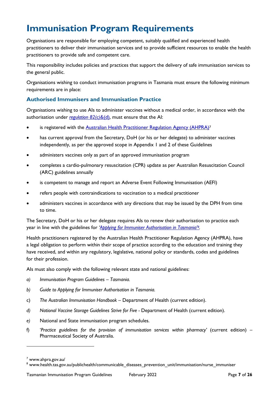# <span id="page-7-0"></span>**Immunisation Program Requirements**

Organisations are responsible for employing competent, suitably qualified and experienced health practitioners to deliver their immunisation services and to provide sufficient resources to enable the health practitioners to provide safe and competent care.

This responsibility includes policies and practices that support the delivery of safe immunisation services to the general public.

Organisations wishing to conduct immunisation programs in Tasmania must ensure the following minimum requirements are in place:

#### <span id="page-7-1"></span>**Authorised Immunisers and Immunisation Practice**

Organisations wishing to use AIs to administer vaccines without a medical order, in accordance with the authorisation under *[regulation 82\(c\)&](https://www.legislation.tas.gov.au/view/html/inforce/2019-04-17/sr-2018-079#GS82@EN)*(d), must ensure that the AI:

- is registered with the **Australian Health Practitioner Regulation Agency (AHPRA)<sup>7</sup>**
- has current approval from the Secretary, DoH (or his or her delegate) to administer vaccines independently, as per the approved scope in Appendix 1 and 2 of these Guidelines
- administers vaccines only as part of an approved immunisation program
- completes a cardio-pulmonary resuscitation (CPR) update as per Australian Resuscitation Council (ARC) guidelines annually
- is competent to manage and report an Adverse Event Following Immunisation (AEFI)
- refers people with contraindications to vaccination to a medical practitioner
- administers vaccines in accordance with any directions that may be issued by the DPH from time to time.

The Secretary, DoH or his or her delegate requires AIs to renew their authorisation to practice each year in line with the guidelines for *'[Applying for Immuniser Author](https://www.health.tas.gov.au/publichealth/communicable_diseases_prevention_unit/immunisation/nurse_immuniser)isation in Tasmania'8.*

Health practitioners registered by the Australian Health Practitioner Regulation Agency (AHPRA), have a legal obligation to perform within their scope of practice according to the education and training they have received, and within any regulatory, legislative, national policy or standards, codes and guidelines for their profession.

AIs must also comply with the following relevant state and national guidelines:

- *a) Immunisation Program Guidelines – Tasmania.*
- *b) Guide to Applying for Immuniser Authorisation in Tasmania.*
- c) *The Australian Immunisation Handbook* Department of Health (current edition).
- *d) National Vaccine Storage Guidelines Strive for Five -* Department of Health (current edition).
- *e)* National and State immunisation program schedules.
- f) '*Practice guidelines for the provision of immunisation services within pharmacy'* (current edition) Pharmaceutical Society of Australia.

<sup>7</sup> www.ahpra.gov.au/

<sup>8</sup> www.health.tas.gov.au/publichealth/communicable\_diseases\_prevention\_unit/immunisation/nurse\_immuniser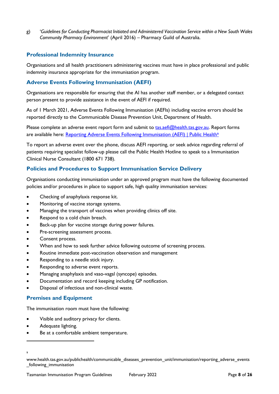g) '*Guidelines for Conducting Pharmacist Initiated and Administered Vaccination Service within a New South Wales Community Pharmacy Environment*' (April 2016) – Pharmacy Guild of Australia.

#### <span id="page-8-0"></span>**Professional Indemnity Insurance**

Organisations and all health practitioners administering vaccines must have in place professional and public indemnity insurance appropriate for the immunisation program.

#### <span id="page-8-1"></span>**Adverse Events Following Immunisation (AEFI)**

Organisations are responsible for ensuring that the AI has another staff member, or a delegated contact person present to provide assistance in the event of AEFI if required.

As of 1 March 2021, Adverse Events Following Immunisation (AEFIs) including vaccine errors should be reported directly to the Communicable Disease Prevention Unit, Department of Health.

Please complete an adverse event report form and submit to [tas.aefi@health.tas.gov.au.](mailto:tas.aefi@health.tas.gov.au) Report forms are available here: [Reporting Adverse Events Following Immunisation \(AEFI\) | Public Health](https://www.health.tas.gov.au/publichealth/communicable_diseases_prevention_unit/immunisation/reporting_adverse_events_following_immunisation)<sup>9</sup>

To report an adverse event over the phone, discuss AEFI reporting, or seek advice regarding referral of patients requiring specialist follow-up please call the Public Health Hotline to speak to a Immunisation Clinical Nurse Consultant (1800 671 738).

#### <span id="page-8-2"></span>**Policies and Procedures to Support Immunisation Service Delivery**

Organisations conducting immunisation under an approved program must have the following documented policies and/or procedures in place to support safe, high quality immunisation services:

- Checking of anaphylaxis response kit.
- Monitoring of vaccine storage systems.
- Managing the transport of vaccines when providing clinics off site.
- Respond to a cold chain breach.
- Back-up plan for vaccine storage during power failures.
- Pre-screening assessment process.
- Consent process.
- When and how to seek further advice following outcome of screening process.
- Routine immediate post-vaccination observation and management
- Responding to a needle stick injury.
- Responding to adverse event reports.
- Managing anaphylaxis and vaso-vagal (syncope) episodes.
- Documentation and record keeping including GP notification.
- Disposal of infectious and non-clinical waste.

#### <span id="page-8-3"></span>**Premises and Equipment**

The immunisation room must have the following:

- Visible and auditory privacy for clients.
- Adequate lighting.
- Be at a comfortable ambient temperature.

<sup>9</sup>

www.health.tas.gov.au/publichealth/communicable\_diseases\_prevention\_unit/immunisation/reporting\_adverse\_events \_following\_immunisation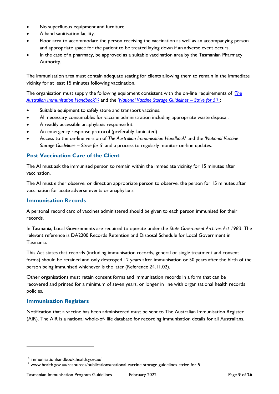- No superfluous equipment and furniture.
- A hand sanitisation facility.
- Floor area to accommodate the person receiving the vaccination as well as an accompanying person and appropriate space for the patient to be treated laying down if an adverse event occurs.
- In the case of a pharmacy, be approved as a suitable vaccination area by the Tasmanian Pharmacy Authority.

The immunisation area must contain adequate seating for clients allowing them to remain in the immediate vicinity for at least 15 minutes following vaccination.

The organisation must supply the following equipment consistent with the on-line requirements of '*[The](https://immunisationhandbook.health.gov.au/)*  [Australian Immunisation Handbook](https://immunisationhandbook.health.gov.au/)'<sup>10</sup> and the '*[National Vaccine Storage Guidelines](https://www.health.gov.au/resources/publications/national-vaccine-storage-guidelines-strive-for-5) – Strive for 5'*<sup>11</sup>:

- Suitable equipment to safely store and transport vaccines.
- All necessary consumables for vaccine administration including appropriate waste disposal.
- A readily accessible anaphylaxis response kit.
- An emergency response protocol (preferably laminated).
- Access to the on-line version of *The Australian Immunisation Handbook*' and the '*National Vaccine Storage Guidelines – Strive for 5*' and a process to regularly monitor on-line updates.

#### <span id="page-9-0"></span>**Post Vaccination Care of the Client**

The AI must ask the immunised person to remain within the immediate vicinity for 15 minutes after vaccination.

The AI must either observe, or direct an appropriate person to observe, the person for 15 minutes after vaccination for acute adverse events or anaphylaxis.

#### <span id="page-9-1"></span>**Immunisation Records**

A personal record card of vaccines administered should be given to each person immunised for their records.

In Tasmania, Local Governments are required to operate under the *State Government Archives Act 1983*. The relevant reference is DA2200 Records Retention and Disposal Schedule for Local Government in Tasmania.

This Act states that records (including immunisation records, general or single treatment and consent forms) should be retained and only destroyed 12 years after immunisation or 50 years after the birth of the person being immunised whichever is the later (Reference 24.11.02).

Other organisations must retain consent forms and immunisation records in a form that can be recovered and printed for a minimum of seven years, or longer in line with organisational health records policies.

#### <span id="page-9-2"></span>**Immunisation Registers**

Notification that a vaccine has been administered must be sent to The Australian Immunisation Register (AIR). The AIR is a national whole-of- life database for recording immunisation details for all Australians.

<sup>10</sup> immunisationhandbook.health.gov.au/

<sup>11</sup> www.health.gov.au/resources/publications/national-vaccine-storage-guidelines-strive-for-5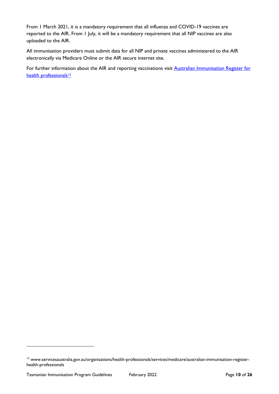From 1 March 2021, it is a mandatory requirement that all influenza and COVID-19 vaccines are reported to the AIR. From 1 July, it will be a mandatory requirement that all NIP vaccines are also uploaded to the AIR.

All immunisation providers must submit data for all NIP and private vaccines administered to the AIR electronically via Medicare Online or the AIR secure internet site.

For further information about the AIR and reporting vaccinations visit **Australian Immunisation Register for** [health professionals](http://www.humanservices.gov.au/organisations/health-professionals/services/medicare/australian-immunisation-register-health-professionals)<sup>12</sup>

<sup>&</sup>lt;sup>12</sup> www.servicesaustralia.gov.au/organisations/health-professionals/services/medicare/australian-immunisation-registerhealth-professionals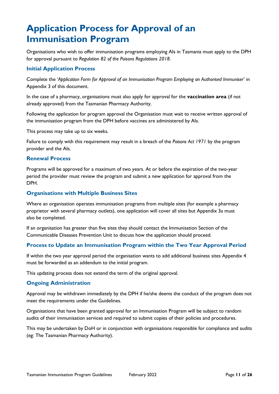# <span id="page-11-0"></span>**Application Process for Approval of an Immunisation Program**

Organisations who wish to offer immunisation programs employing AIs in Tasmania must apply to the DPH for approval pursuant to *Regulation 82 of the Poisons Regulations 2018*.

#### **Initial Application Process**

Complete the '*Application Form for Approval of an Immunisation Program Employing an Authorised Immuniser*' in Appendix 3 of this document.

In the case of a pharmacy, organisations must also apply for approval for the **vaccination area** (if not already approved) from the Tasmanian Pharmacy Authority.

Following the application for program approval the Organisation must wait to receive written approval of the immunisation program from the DPH before vaccines are administered by AIs.

This process may take up to six weeks.

Failure to comply with this requirement may result in a breach of the *Poisons Act 1971* by the program provider and the AIs.

#### **Renewal Process**

Programs will be approved for a maximum of two years. At or before the expiration of the two-year period the provider must review the program and submit a new application for approval from the DPH.

#### **Organisations with Multiple Business Sites**

Where an organisation operates immunisation programs from multiple sites (for example a pharmacy proprietor with several pharmacy outlets), one application will cover all sites but Appendix 3a must also be completed.

If an organisation has greater than five sites they should contact the Immunisation Section of the Communicable Diseases Prevention Unit to discuss how the application should proceed.

#### **Process to Update an Immunisation Program within the Two Year Approval Period**

If within the two year approval period the organisation wants to add additional business sites Appendix 4 must be forwarded as an addendum to the initial program.

This updating process does not extend the term of the original approval.

#### **Ongoing Administration**

Approval may be withdrawn immediately by the DPH if he/she deems the conduct of the program does not meet the requirements under the Guidelines.

Organisations that have been granted approval for an Immunisation Program will be subject to random audits of their immunisation services and required to submit copies of their policies and procedures.

This may be undertaken by DoH or in conjunction with organisations responsible for compliance and audits (eg: The Tasmanian Pharmacy Authority).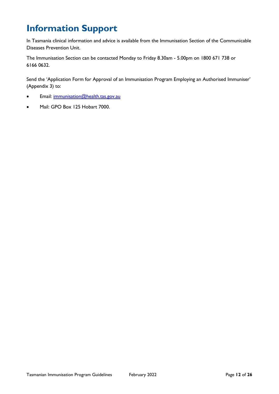# <span id="page-12-0"></span>**Information Support**

In Tasmania clinical information and advice is available from the Immunisation Section of the Communicable Diseases Prevention Unit.

The Immunisation Section can be contacted Monday to Friday 8.30am - 5.00pm on 1800 671 738 or 6166 0632.

Send the 'Application Form for Approval of an Immunisation Program Employing an Authorised Immuniser' (Appendix 3) to:

- Email: [immunisation@health.tas.gov.au](mailto:immunisation@health.tas.gov.au)
- Mail: GPO Box 125 Hobart 7000.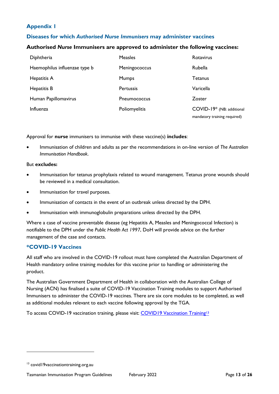### <span id="page-13-0"></span>**Appendix 1**

#### <span id="page-13-1"></span>**Diseases for which** *Authorised Nurse Immunisers* **may administer vaccines**

#### **Authorised** *Nurse* **Immunisers are approved to administer the following vaccines:**

| Diphtheria                    | <b>Measles</b>   | Rotavirus                                                 |
|-------------------------------|------------------|-----------------------------------------------------------|
| Haemophilus influenzae type b | Meningococcus    | Rubella                                                   |
| Hepatitis A                   | <b>Mumps</b>     | Tetanus                                                   |
| Hepatitis B                   | <b>Pertussis</b> | Varicella                                                 |
| Human Papillomavirus          | Pneumococcus     | Zoster                                                    |
| Influenza                     | Poliomyelitis    | COVID-19* (NB: additional<br>mandatory training required) |

Approval for **nurse** immunisers to immunise with these vaccine(s) **includes**:

• Immunisation of children and adults as per the recommendations in on-line version of *The Australian Immunisation Handbook*.

#### But **excludes:**

- Immunisation for tetanus prophylaxis related to wound management. Tetanus prone wounds should be reviewed in a medical consultation.
- Immunisation for travel purposes.
- Immunisation of contacts in the event of an outbreak unless directed by the DPH.
- Immunisation with immunoglobulin preparations unless directed by the DPH.

Where a case of vaccine preventable disease (eg Hepatitis A, Measles and Meningococcal Infection) is notifiable to the DPH under the *Public Health Act 1997*, DoH will provide advice on the further management of the case and contacts.

#### **\*COVID-19 Vaccines**

All staff who are involved in the COVID-19 rollout must have completed the Australian Department of Health mandatory online training modules for this vaccine prior to handling or administering the product.

The Australian Government Department of Health in collaboration with the Australian College of Nursing (ACN) has finalised a suite of COVID-19 Vaccination Training modules to support Authorised Immunisers to administer the COVID-19 vaccines. There are six core modules to be completed, as well as additional modules relevant to each vaccine following approval by the TGA.

To access COVID-19 vaccination training, please visit: [COVID19 Vaccination Training](file://///corefs01/grpdata/hav/CDPU%20-%20Immunisation/Authorised%20Immuniser%20Documentation/Program%20Approvals/Tasmanian%20Immunisation%20Program%20Guidelines%20and%20application%20forms/Word%20and%20web%20Versions/covid19vaccinationtraining.org.au)<sup>13</sup>

<sup>&</sup>lt;sup>13</sup> covid19vaccinationtraining.org.au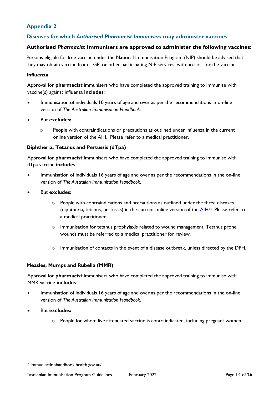### <span id="page-14-0"></span>**Appendix 2**

#### <span id="page-14-1"></span>**Diseases for which** *Authorised Pharmacist Immunisers* **may administer vaccines**

#### **Authorised** *Pharmacist* **Immunisers are approved to administer the following vaccines:**

Persons eligible for free vaccine under the National Immunisation Program (NIP) should be advised that they may obtain vaccine from a GP, or other participating NIP services, with no cost for the vaccine.

#### **Influenza**

Approval for **pharmacist** immunisers who have completed the approved training to immunise with vaccine(s) against influenza **includes**:

- Immunisation of individuals 10 years of age and over as per the recommendations in on-line version of *The Australian Immunisation Handbook.*
- But **excludes:**
	- o People with contraindications or precautions as outlined under influenza in the current online version of the AIH. Please refer to a medical practitioner.

#### **Diphtheria, Tetanus and Pertussis (dTpa)**

Approval for **pharmacist** immunisers who have completed the approved training to immunise with dTpa vaccine **includes**:

- Immunisation of individuals 16 years of age and over as per the recommendations in the on-line version of *The Australian Immunisation Handbook.*
- But **excludes:**
	- $\circ$  People with contraindications and precautions as outlined under the three diseases (diphtheria, tetanus, pertussis) in the current online version of the  $\frac{A H^{14}}{4}$ . Please refer to a medical practitioner.
	- $\circ$  Immunisation for tetanus prophylaxis related to wound management. Tetanus prone wounds must be referred to a medical practitioner for review.
	- o Immunisation of contacts in the event of a disease outbreak, unless directed by the DPH.

#### **Measles, Mumps and Rubella (MMR)**

Approval for **pharmacist** immunisers who have completed the approved training to immunise with MMR vaccine **includes**:

- Immunisation of individuals 16 years of age and over as per the recommendations in the on-line version of *The Australian Immunisation Handbook.*
- But **excludes:**
	- o People for whom live attenuated vaccine is contraindicated, including pregnant women.

<sup>14</sup> immunisationhandbook.health.gov.au/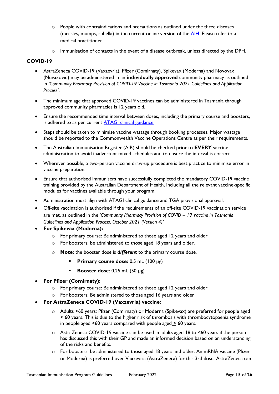- $\circ$  People with contraindications and precautions as outlined under the three diseases (measles, mumps, rubella) in the current online version of the [AIH.](https://immunisationhandbook.health.gov.au/) Please refer to a medical practitioner.
- $\circ$  Immunisation of contacts in the event of a disease outbreak, unless directed by the DPH.

#### **COVID-19**

- AstraZeneca COVID-19 (Vaxzevria), Pfizer (Comirnaty), Spikevax (Moderna) and Novovax (Nuvaxovid) may be administered in an **individually approved** community pharmacy as outlined in *'Community Pharmacy Provision of COVID-19 Vaccine in Tasmania 2021 Guidelines and Application Process'*.
- The minimum age that approved COVID-19 vaccines can be administered in Tasmania through approved community pharmacies is 12 years old.
- Ensure the recommended time interval between doses, including the primary course and boosters, is adhered to as per current **ATAGI** clinical guidance.
- Steps should be taken to minimise vaccine wastage through booking processes. Major wastage should be reported to the Commonwealth Vaccine Operations Centre as per their requirements.
- The Australian Immunisation Register (AIR) should be checked prior to **EVERY** vaccine administration to avoid inadvertent mixed schedules and to ensure the interval is correct.
- Wherever possible, a two-person vaccine draw-up procedure is best practice to minimise error in vaccine preparation.
- Ensure that authorised immunisers have successfully completed the mandatory COVID-19 vaccine training provided by the Australian Department of Health, including all the relevant vaccine-specific modules for vaccines available through your program.
- Administration must align with ATAGI clinical guidance and TGA provisional approval.
- Off-site vaccination is authorised if the requirements of an off-site COVID-19 vaccination service are met, as outlined in the *'Community Pharmacy Provision of COVID – 19 Vaccine in Tasmania Guidelines and Application Process, October 2021 (Version 4)'*
- **For Spikevax (Moderna):** 
	- o For primary course: Be administered to those aged 12 years and older.
	- o For boosters: be administered to those aged 18 years and older.
	- o **Note:** the booster dose is *different* to the primary course dose.
		- **Primary course dose:** 0.5 mL (100 µg)
		- **Booster dose**: 0.25 mL (50 µg)
- **For Pfizer (Comirnaty):** 
	- o For primary course: Be administered to those aged 12 years and older
	- o For boosters: Be administered to those aged 16 years and older
- **For AstraZeneca COVID-19 (Vaxzevria) vaccine:** 
	- o Adults <60 years: Pfizer (Comirnaty) or Moderna (Spikevax) are preferred for people aged < 60 years. This is due to the higher risk of thrombosis with thrombocytopaenia syndrome in people aged <60 years compared with people aged > 60 years.
	- $\circ$  AstraZeneca COVID-19 vaccine can be used in adults aged 18 to <60 years if the person has discussed this with their GP and made an informed decision based on an understanding of the risks and benefits.
	- $\circ$  For boosters: be administered to those aged 18 years and older. An mRNA vaccine (Pfizer or Moderna) is preferred over Vaxzevria (AstraZeneca) for this 3rd dose. AstraZeneca can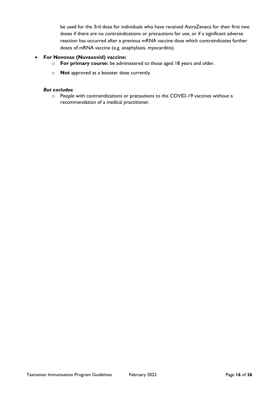be used for the 3rd dose for individuals who have received AstraZeneca for their first two doses if there are no contraindications or precautions for use, or if a significant adverse reaction has occurred after a previous mRNA vaccine dose which contraindicates further doses of mRNA vaccine (e.g. anaphylaxis, myocarditis).

#### • **For Novovax (Nuvaxovid) vaccine:**

- o **For primary course:** be administered to those aged 18 years and older.
- o **Not** approved as a booster dose currently.

#### *But excludes:*

o People with contraindications or precautions to the COVID-19 vaccines without a recommendation of a medical practitioner.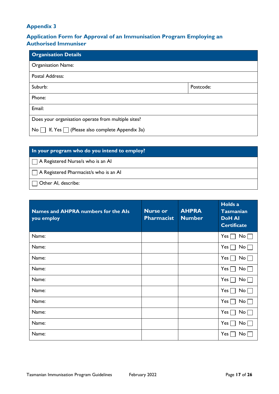#### <span id="page-17-0"></span>**Appendix 3**

### <span id="page-17-1"></span>**Application Form for Approval of an Immunisation Program Employing an Authorised Immuniser**

| <b>Organisation Details</b>                                          |           |
|----------------------------------------------------------------------|-----------|
| <b>Organisation Name:</b>                                            |           |
| Postal Address:                                                      |           |
| Suburb:                                                              | Postcode: |
| Phone:                                                               |           |
| Email:                                                               |           |
| Does your organisation operate from multiple sites?                  |           |
| If, Yes $\Box$ (Please also complete Appendix 3a)<br>No <sub>1</sub> |           |

#### **In your program who do you intend to employ?**

A Registered Nurse/s who is an AI

A Registered Pharmacist/s who is an AI

Other AI, describe:

| Names and AHPRA numbers for the Als<br>you employ | <b>Nurse or</b><br><b>Pharmacist</b> | <b>AHPRA</b><br><b>Number</b> | Holds a<br><b>Tasmanian</b><br><b>DoH AI</b><br><b>Certificate</b> |
|---------------------------------------------------|--------------------------------------|-------------------------------|--------------------------------------------------------------------|
| Name:                                             |                                      |                               | $Yes \Box$<br>No                                                   |
| Name:                                             |                                      |                               | $Yes \Box$<br>No <sub>1</sub>                                      |
| Name:                                             |                                      |                               | $Yes \Box$<br>No                                                   |
| Name:                                             |                                      |                               | Yes $\lfloor$<br>No <sub>1</sub>                                   |
| Name:                                             |                                      |                               | Yes  <br>No.                                                       |
| Name:                                             |                                      |                               | Yes [<br>No                                                        |
| Name:                                             |                                      |                               | Yes $\lfloor$<br>No.                                               |
| Name:                                             |                                      |                               | Yes  <br>No.                                                       |
| Name:                                             |                                      |                               | Yes  <br>No.                                                       |
| Name:                                             |                                      |                               | Yes<br>No.                                                         |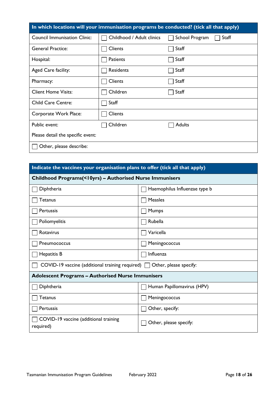| In which locations will your immunisation programs be conducted? (tick all that apply) |                           |                         |  |
|----------------------------------------------------------------------------------------|---------------------------|-------------------------|--|
| <b>Council Immunisation Clinic:</b>                                                    | Childhood / Adult clinics | School Program<br>Staff |  |
| <b>General Practice:</b>                                                               | Clients                   | Staff                   |  |
| Hospital:                                                                              | Patients                  | Staff                   |  |
| Aged Care facility:                                                                    | Residents                 | Staff                   |  |
| Pharmacy:                                                                              | Clients                   | Staff                   |  |
| <b>Client Home Visits:</b>                                                             | Children                  | Staff                   |  |
| <b>Child Care Centre:</b>                                                              | Staff                     |                         |  |
| Corporate Work Place:                                                                  | Clients                   |                         |  |
| Public event:                                                                          | Children                  | Adults                  |  |
| Please detail the specific event:                                                      |                           |                         |  |
| Other, please describe:                                                                |                           |                         |  |

| Indicate the vaccines your organisation plans to offer (tick all that apply)  |                               |  |
|-------------------------------------------------------------------------------|-------------------------------|--|
| Childhood Programs(<10yrs) - Authorised Nurse Immunisers                      |                               |  |
| Diphtheria                                                                    | Haemophilus Influenzae type b |  |
| Tetanus                                                                       | <b>Measles</b>                |  |
| Pertussis                                                                     | <b>Mumps</b>                  |  |
| Poliomyelitis                                                                 | Rubella                       |  |
| Rotavirus                                                                     | Varicella                     |  |
| Pneumococcus                                                                  | Meningococcus                 |  |
| Hepatitis B                                                                   | Influenza                     |  |
| COVID-19 vaccine (additional training required) $\Box$ Other, please specify: |                               |  |
| <b>Adolescent Programs - Authorised Nurse Immunisers</b>                      |                               |  |
| Diphtheria                                                                    | Human Papillomavirus (HPV)    |  |
| Tetanus                                                                       | Meningococcus                 |  |
| Pertussis                                                                     | Other, specify:               |  |
| COVID-19 vaccine (additional training<br>required)                            | Other, please specify:        |  |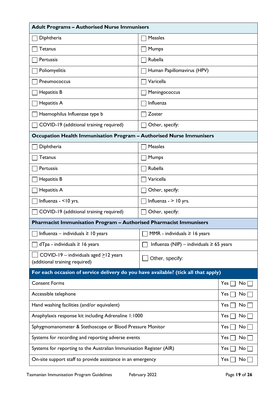| <b>Adult Programs - Authorised Nurse Immunisers</b>                                |                                               |           |  |
|------------------------------------------------------------------------------------|-----------------------------------------------|-----------|--|
| Diphtheria                                                                         | Measles                                       |           |  |
| <b>Tetanus</b>                                                                     | Mumps                                         |           |  |
| Pertussis                                                                          | Rubella                                       |           |  |
| Poliomyelitis                                                                      | Human Papillomavirus (HPV)                    |           |  |
| Pneumococcus                                                                       | Varicella                                     |           |  |
| Hepatitis B                                                                        | Meningococcus                                 |           |  |
| Hepatitis A                                                                        | Influenza                                     |           |  |
| Haemophilus Influenzae type b                                                      | Zoster                                        |           |  |
| COVID-19 (additional training required)                                            | Other, specify:                               |           |  |
| Occupation Health Immunisation Program - Authorised Nurse Immunisers               |                                               |           |  |
| Diphtheria                                                                         | Measles                                       |           |  |
| Tetanus                                                                            | <b>Mumps</b>                                  |           |  |
| Pertussis                                                                          | Rubella                                       |           |  |
| Hepatitis B                                                                        | Varicella                                     |           |  |
| Hepatitis A                                                                        | Other, specify:                               |           |  |
| Influenza - <10 yrs.                                                               | Influenza - $>$ 10 yrs.                       |           |  |
| COVID-19 (additional training required)                                            | Other, specify:                               |           |  |
| <b>Pharmacist Immunisation Program - Authorised Pharmacist Immunisers</b>          |                                               |           |  |
| $\Box$ Influenza – individuals $\geq$ 10 years                                     | $\Box$ MMR - individuals $\geq$ 16 years      |           |  |
| $dTpa - individuals \geq 16 years$                                                 | Influenza (NIP) – individuals $\geq 65$ years |           |  |
| COVID-19 - individuals aged $\ge$ 12 years<br>(additional training required)       | Other, specify:                               |           |  |
| For each occasion of service delivery do you have available? (tick all that apply) |                                               |           |  |
| <b>Consent Forms</b>                                                               |                                               | Yes<br>No |  |
| Accessible telephone                                                               |                                               | Yes<br>No |  |
| Hand washing facilities (and/or equivalent)                                        |                                               | Yes<br>No |  |
| Anaphylaxis response kit including Adrenaline 1:1000                               |                                               | Yes<br>No |  |
| Sphygmomanometer & Stethoscope or Blood Pressure Monitor                           |                                               | Yes<br>No |  |
| Systems for recording and reporting adverse events                                 |                                               | Yes<br>No |  |
| Systems for reporting to the Australian Immunisation Register (AIR)                |                                               | No<br>Yes |  |
| On-site support staff to provide assistance in an emergency                        |                                               | Yes<br>No |  |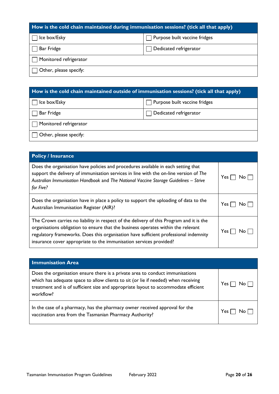| How is the cold chain maintained during immunisation sessions? (tick all that apply) |                               |  |
|--------------------------------------------------------------------------------------|-------------------------------|--|
| Ice box/Esky                                                                         | Purpose built vaccine fridges |  |
| Bar Fridge                                                                           | Dedicated refrigerator        |  |
| Monitored refrigerator                                                               |                               |  |
| Other, please specify:                                                               |                               |  |

# **How is the cold chain maintained outside of immunisation sessions? (tick all that apply)**

| Ice box/Esky                  | $\Box$ Purpose built vaccine fridges |
|-------------------------------|--------------------------------------|
| Bar Fridge                    | Dedicated refrigerator               |
| $\Box$ Monitored refrigerator |                                      |
| $\Box$ Other, please specify: |                                      |

| <b>Policy / Insurance</b>                                                                                                                                                                                                                                                                                                                  |             |
|--------------------------------------------------------------------------------------------------------------------------------------------------------------------------------------------------------------------------------------------------------------------------------------------------------------------------------------------|-------------|
| Does the organisation have policies and procedures available in each setting that<br>support the delivery of immunisation services in line with the on-line version of The<br>Australian Immunisation Handbook and The National Vaccine Storage Guidelines - Strive<br>for Five?                                                           | Yes.<br>No. |
| Does the organisation have in place a policy to support the uploading of data to the<br>Australian Immunisation Register (AIR)?                                                                                                                                                                                                            | Yes.<br>No. |
| The Crown carries no liability in respect of the delivery of this Program and it is the<br>organisations obligation to ensure that the business operates within the relevant<br>regulatory frameworks. Does this organisation have sufficient professional indemnity<br>insurance cover appropriate to the immunisation services provided? | Yes.<br>No. |

| <b>Immunisation Area</b>                                                                                                                                                                                                                                                |       |
|-------------------------------------------------------------------------------------------------------------------------------------------------------------------------------------------------------------------------------------------------------------------------|-------|
| Does the organisation ensure there is a private area to conduct immunisations<br>which has adequate space to allow clients to sit (or lie if needed) when receiving<br>treatment and is of sufficient size and appropriate layout to accommodate efficient<br>workflow? | Yes I |
| In the case of a pharmacy, has the pharmacy owner received approval for the<br>vaccination area from the Tasmanian Pharmacy Authority?                                                                                                                                  | Yes I |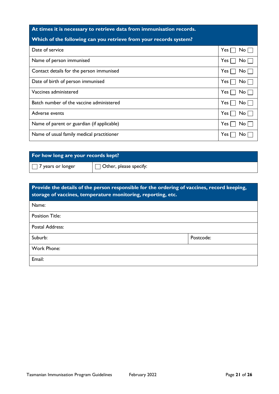## **At times it is necessary to retrieve data from immunisation records.**

# **Which of the following can you retrieve from your records system?**

| Date of service                            | Yes <sub>1</sub><br>No l         |
|--------------------------------------------|----------------------------------|
| Name of person immunised                   | Yes<br>No I                      |
| Contact details for the person immunised   | Yes<br>No <sub>1</sub>           |
| Date of birth of person immunised          | $Yes \lceil$<br>No               |
| Vaccines administered                      | Yes <sub>1</sub><br>No           |
| Batch number of the vaccine administered   | $Yes \mid$<br>No L               |
| Adverse events                             | Yes <sub>1</sub><br>$No$ $\vert$ |
| Name of parent or guardian (if applicable) | Yes  <br>No I                    |
| Name of usual family medical practitioner  | Yes.<br>No                       |

### **For how long are your records kept?**

 $\Box$  7 years or longer  $\Box$  Other, please specify:

| Provide the details of the person responsible for the ordering of vaccines, record keeping,<br>storage of vaccines, temperature monitoring, reporting, etc. |           |
|-------------------------------------------------------------------------------------------------------------------------------------------------------------|-----------|
| Name:                                                                                                                                                       |           |
| <b>Position Title:</b>                                                                                                                                      |           |
| Postal Address:                                                                                                                                             |           |
| Suburb:                                                                                                                                                     | Postcode: |
| Work Phone:                                                                                                                                                 |           |
| Email:                                                                                                                                                      |           |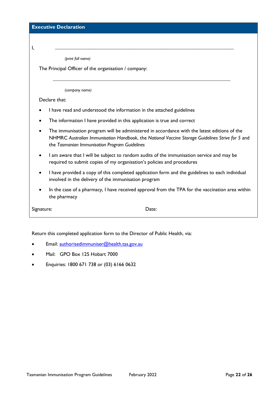| <b>Executive Declaration</b>                                                                                                                                                                                                                                  |  |
|---------------------------------------------------------------------------------------------------------------------------------------------------------------------------------------------------------------------------------------------------------------|--|
| I,                                                                                                                                                                                                                                                            |  |
| (print full name)                                                                                                                                                                                                                                             |  |
| The Principal Officer of the organisation / company:                                                                                                                                                                                                          |  |
| (company name)                                                                                                                                                                                                                                                |  |
| Declare that:                                                                                                                                                                                                                                                 |  |
| I have read and understood the information in the attached guidelines                                                                                                                                                                                         |  |
| The information I have provided in this application is true and correct                                                                                                                                                                                       |  |
| The immunisation program will be administered in accordance with the latest editions of the<br>$\bullet$<br>NHMRC Australian Immunisation Handbook, the National Vaccine Storage Guidelines Strive for 5 and<br>the Tasmanian Immunisation Program Guidelines |  |
| I am aware that I will be subject to random audits of the immunisation service and may be<br>required to submit copies of my organisation's policies and procedures                                                                                           |  |
| I have provided a copy of this completed application form and the guidelines to each individual<br>involved in the delivery of the immunisation program                                                                                                       |  |
| In the case of a pharmacy, I have received approval from the TPA for the vaccination area within<br>the pharmacy                                                                                                                                              |  |
| Signature:<br>Date:                                                                                                                                                                                                                                           |  |

Return this completed application form to the Director of Public Health, via:

- Email: [authorisedimmuniser@health.tas.gov.au](mailto:authorisedimmuniser@health.tas.gov.au)
- Mail: GPO Box 125 Hobart 7000
- Enquiries: 1800 671 738 or (03) 6166 0632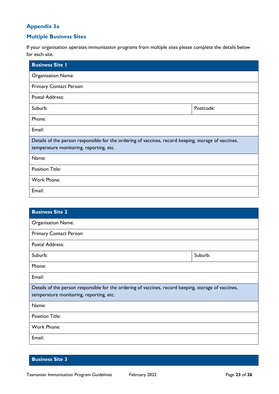### <span id="page-23-0"></span>**Appendix 3a**

### <span id="page-23-1"></span>**Multiple Business Sites**

If your organisation operates immunisation programs from multiple sites please complete the details below for each site.

| <b>Business Site I</b>                                                                                                                          |           |
|-------------------------------------------------------------------------------------------------------------------------------------------------|-----------|
| <b>Organisation Name:</b>                                                                                                                       |           |
| Primary Contact Person:                                                                                                                         |           |
| <b>Postal Address:</b>                                                                                                                          |           |
| Suburb:                                                                                                                                         | Postcode: |
| Phone:                                                                                                                                          |           |
| Email:                                                                                                                                          |           |
| Details of the person responsible for the ordering of vaccines, record keeping, storage of vaccines,<br>temperature monitoring, reporting, etc. |           |
| Name:                                                                                                                                           |           |
| <b>Position Title:</b>                                                                                                                          |           |
| Work Phone:                                                                                                                                     |           |
| Email:                                                                                                                                          |           |

| <b>Business Site 2</b>                                                                               |         |
|------------------------------------------------------------------------------------------------------|---------|
| <b>Organisation Name:</b>                                                                            |         |
| Primary Contact Person:                                                                              |         |
| Postal Address:                                                                                      |         |
| Suburb:                                                                                              | Suburb: |
| Phone:                                                                                               |         |
| Email:                                                                                               |         |
| Details of the person responsible for the ordering of vaccines, record keeping, storage of vaccines, |         |
| temperature monitoring, reporting, etc.                                                              |         |
| Name:                                                                                                |         |
| <b>Position Title:</b>                                                                               |         |
| <b>Work Phone:</b>                                                                                   |         |
| Email:                                                                                               |         |

### **Business Site 3**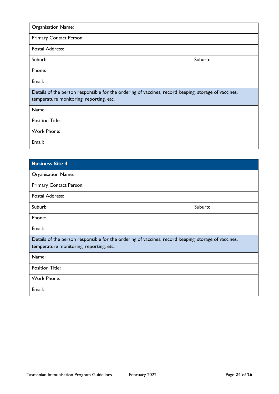| <b>Organisation Name:</b>                                                                                                                       |         |  |
|-------------------------------------------------------------------------------------------------------------------------------------------------|---------|--|
| Primary Contact Person:                                                                                                                         |         |  |
| <b>Postal Address:</b>                                                                                                                          |         |  |
| Suburb:                                                                                                                                         | Suburb: |  |
| Phone:                                                                                                                                          |         |  |
| Email:                                                                                                                                          |         |  |
| Details of the person responsible for the ordering of vaccines, record keeping, storage of vaccines,<br>temperature monitoring, reporting, etc. |         |  |
| Name:                                                                                                                                           |         |  |
| <b>Position Title:</b>                                                                                                                          |         |  |
| Work Phone:                                                                                                                                     |         |  |
| Email:                                                                                                                                          |         |  |

| <b>Business Site 4</b>                                                                               |         |
|------------------------------------------------------------------------------------------------------|---------|
| <b>Organisation Name:</b>                                                                            |         |
| Primary Contact Person:                                                                              |         |
| Postal Address:                                                                                      |         |
| Suburb:                                                                                              | Suburb: |
| Phone:                                                                                               |         |
| Email:                                                                                               |         |
| Details of the person responsible for the ordering of vaccines, record keeping, storage of vaccines, |         |
| temperature monitoring, reporting, etc.                                                              |         |
| Name:                                                                                                |         |
| <b>Position Title:</b>                                                                               |         |
| Work Phone:                                                                                          |         |
| Email:                                                                                               |         |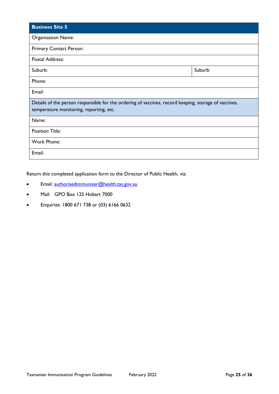| <b>Business Site 5</b>                                                                                                                          |         |
|-------------------------------------------------------------------------------------------------------------------------------------------------|---------|
| <b>Organisation Name:</b>                                                                                                                       |         |
| Primary Contact Person:                                                                                                                         |         |
| Postal Address:                                                                                                                                 |         |
| Suburb:                                                                                                                                         | Suburb: |
| Phone:                                                                                                                                          |         |
| Email:                                                                                                                                          |         |
| Details of the person responsible for the ordering of vaccines, record keeping, storage of vaccines,<br>temperature monitoring, reporting, etc. |         |
| Name:                                                                                                                                           |         |
| <b>Position Title:</b>                                                                                                                          |         |
| Work Phone:                                                                                                                                     |         |
| Email:                                                                                                                                          |         |

Return this completed application form to the Director of Public Health, via:

- Email: [authorisedimmuniser@health.tas.gov.au](mailto:authorisedimmuniser@health.tas.gov.au)
- Mail: GPO Box 125 Hobart 7000
- Enquiries: 1800 671 738 or (03) 6166 0632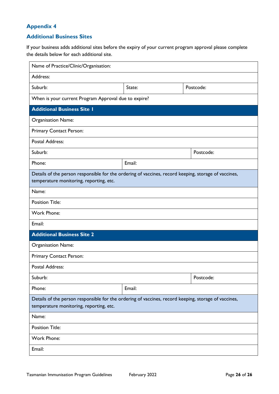### <span id="page-26-0"></span>**Appendix 4**

#### <span id="page-26-1"></span>**Additional Business Sites**

If your business adds additional sites before the expiry of your current program approval please complete the details below for each additional site.

| Name of Practice/Clinic/Organisation:                                                                                                           |        |           |
|-------------------------------------------------------------------------------------------------------------------------------------------------|--------|-----------|
| Address:                                                                                                                                        |        |           |
| Suburb:                                                                                                                                         | State: | Postcode: |
| When is your current Program Approval due to expire?                                                                                            |        |           |
| <b>Additional Business Site I</b>                                                                                                               |        |           |
| <b>Organisation Name:</b>                                                                                                                       |        |           |
| Primary Contact Person:                                                                                                                         |        |           |
| <b>Postal Address:</b>                                                                                                                          |        |           |
| Suburb:                                                                                                                                         |        | Postcode: |
| Phone:                                                                                                                                          | Email: |           |
| Details of the person responsible for the ordering of vaccines, record keeping, storage of vaccines,<br>temperature monitoring, reporting, etc. |        |           |
| Name:                                                                                                                                           |        |           |
| <b>Position Title:</b>                                                                                                                          |        |           |
| <b>Work Phone:</b>                                                                                                                              |        |           |
| Email:                                                                                                                                          |        |           |
| <b>Additional Business Site 2</b>                                                                                                               |        |           |
| Organisation Name:                                                                                                                              |        |           |
| Primary Contact Person:                                                                                                                         |        |           |
| <b>Postal Address:</b>                                                                                                                          |        |           |
| Suburb:                                                                                                                                         |        | Postcode: |
| Phone:                                                                                                                                          | Email: |           |
| Details of the person responsible for the ordering of vaccines, record keeping, storage of vaccines,<br>temperature monitoring, reporting, etc. |        |           |
| Name:                                                                                                                                           |        |           |
| <b>Position Title:</b>                                                                                                                          |        |           |
| Work Phone:                                                                                                                                     |        |           |
| Email:                                                                                                                                          |        |           |